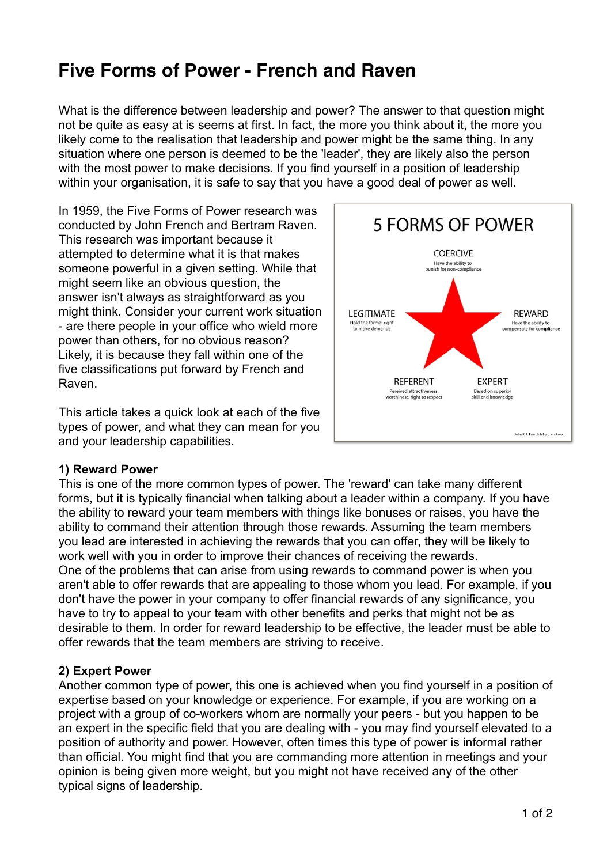# **Five Forms of Power - French and Raven**

What is the difference between leadership and power? The answer to that question might not be quite as easy at is seems at first. In fact, the more you think about it, the more you likely come to the realisation that leadership and power might be the same thing. In any situation where one person is deemed to be the 'leader', they are likely also the person with the most power to make decisions. If you find yourself in a position of leadership within your organisation, it is safe to say that you have a good deal of power as well.

In 1959, the Five Forms of Power research was conducted by John French and Bertram Raven. This research was important because it attempted to determine what it is that makes someone powerful in a given setting. While that might seem like an obvious question, the answer isn't always as straightforward as you might think. Consider your current work situation - are there people in your office who wield more power than others, for no obvious reason? Likely, it is because they fall within one of the five classifications put forward by French and Raven.

This article takes a quick look at each of the five types of power, and what they can mean for you and your leadership capabilities.



#### **1) Reward Power**

This is one of the more common types of power. The 'reward' can take many different forms, but it is typically financial when talking about a leader within a company. If you have the ability to reward your team members with things like bonuses or raises, you have the ability to command their attention through those rewards. Assuming the team members you lead are interested in achieving the rewards that you can offer, they will be likely to work well with you in order to improve their chances of receiving the rewards. One of the problems that can arise from using rewards to command power is when you aren't able to offer rewards that are appealing to those whom you lead. For example, if you don't have the power in your company to offer financial rewards of any significance, you have to try to appeal to your team with other benefits and perks that might not be as desirable to them. In order for reward leadership to be effective, the leader must be able to offer rewards that the team members are striving to receive.

#### **2) Expert Power**

Another common type of power, this one is achieved when you find yourself in a position of expertise based on your knowledge or experience. For example, if you are working on a project with a group of co-workers whom are normally your peers - but you happen to be an expert in the specific field that you are dealing with - you may find yourself elevated to a position of authority and power. However, often times this type of power is informal rather than official. You might find that you are commanding more attention in meetings and your opinion is being given more weight, but you might not have received any of the other typical signs of leadership.